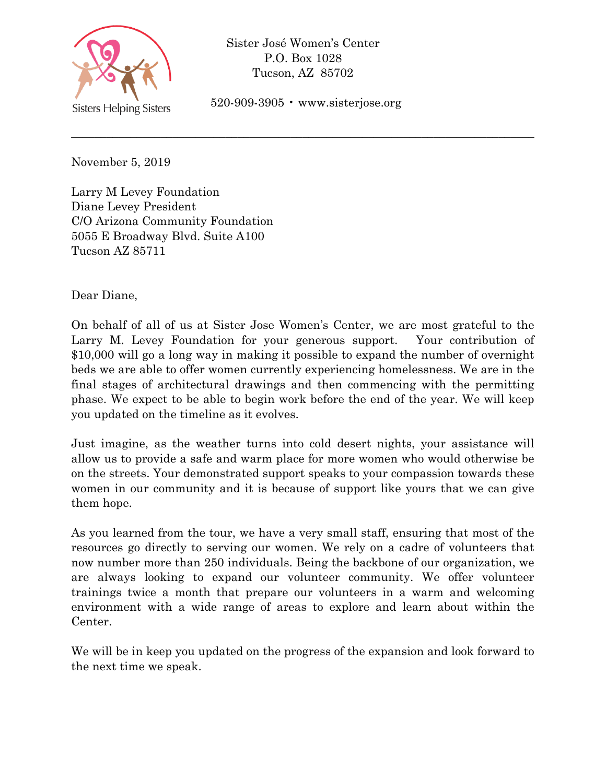

Sister José Women's Center P.O. Box 1028 Tucson, AZ 85702

520-909-3905 • www.sisterjose.org

\_\_\_\_\_\_\_\_\_\_\_\_\_\_\_\_\_\_\_\_\_\_\_\_\_\_\_\_\_\_\_\_\_\_\_\_\_\_\_\_\_\_\_\_\_\_\_\_\_\_\_\_\_\_\_\_\_\_\_\_\_\_\_\_\_\_\_\_\_\_\_\_\_\_\_\_\_\_

November 5, 2019

Larry M Levey Foundation Diane Levey President C/O Arizona Community Foundation 5055 E Broadway Blvd. Suite A100 Tucson AZ 85711

Dear Diane,

On behalf of all of us at Sister Jose Women's Center, we are most grateful to the Larry M. Levey Foundation for your generous support. Your contribution of \$10,000 will go a long way in making it possible to expand the number of overnight beds we are able to offer women currently experiencing homelessness. We are in the final stages of architectural drawings and then commencing with the permitting phase. We expect to be able to begin work before the end of the year. We will keep you updated on the timeline as it evolves.

Just imagine, as the weather turns into cold desert nights, your assistance will allow us to provide a safe and warm place for more women who would otherwise be on the streets. Your demonstrated support speaks to your compassion towards these women in our community and it is because of support like yours that we can give them hope.

As you learned from the tour, we have a very small staff, ensuring that most of the resources go directly to serving our women. We rely on a cadre of volunteers that now number more than 250 individuals. Being the backbone of our organization, we are always looking to expand our volunteer community. We offer volunteer trainings twice a month that prepare our volunteers in a warm and welcoming environment with a wide range of areas to explore and learn about within the Center.

We will be in keep you updated on the progress of the expansion and look forward to the next time we speak.